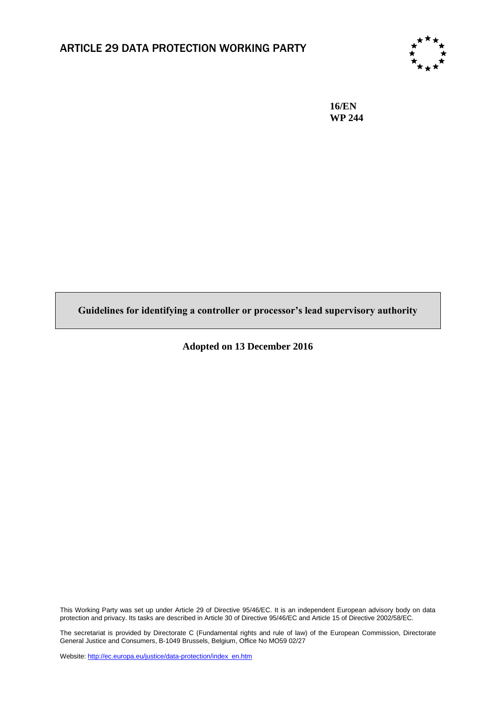

**16/EN WP 244**

**Guidelines for identifying a controller or processor's lead supervisory authority**

**Adopted on 13 December 2016**

This Working Party was set up under Article 29 of Directive 95/46/EC. It is an independent European advisory body on data protection and privacy. Its tasks are described in Article 30 of Directive 95/46/EC and Article 15 of Directive 2002/58/EC.

The secretariat is provided by Directorate C (Fundamental rights and rule of law) of the European Commission, Directorate General Justice and Consumers, B-1049 Brussels, Belgium, Office No MO59 02/27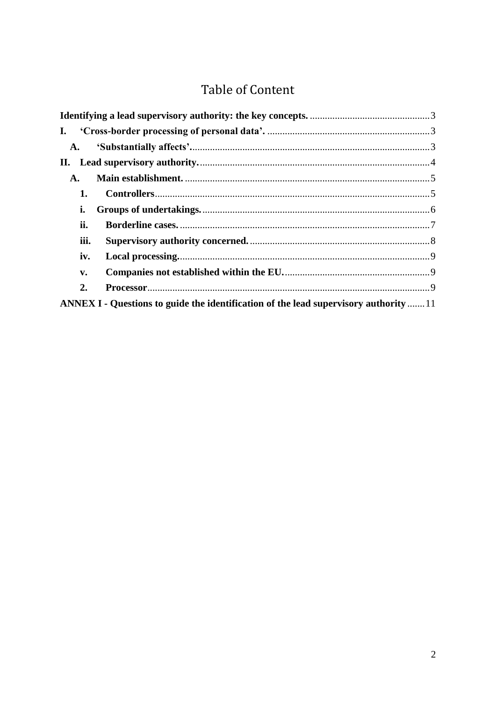# Table of Content

| $\mathbf{I}$ . |                                                                                             |  |
|----------------|---------------------------------------------------------------------------------------------|--|
| A.             |                                                                                             |  |
|                |                                                                                             |  |
| A.             |                                                                                             |  |
| 1.             |                                                                                             |  |
| i.             |                                                                                             |  |
| ii.            |                                                                                             |  |
| iii.           |                                                                                             |  |
| iv.            |                                                                                             |  |
| $V_{\bullet}$  |                                                                                             |  |
| 2.             |                                                                                             |  |
|                | <b>ANNEX I - Questions to guide the identification of the lead supervisory authority</b> 11 |  |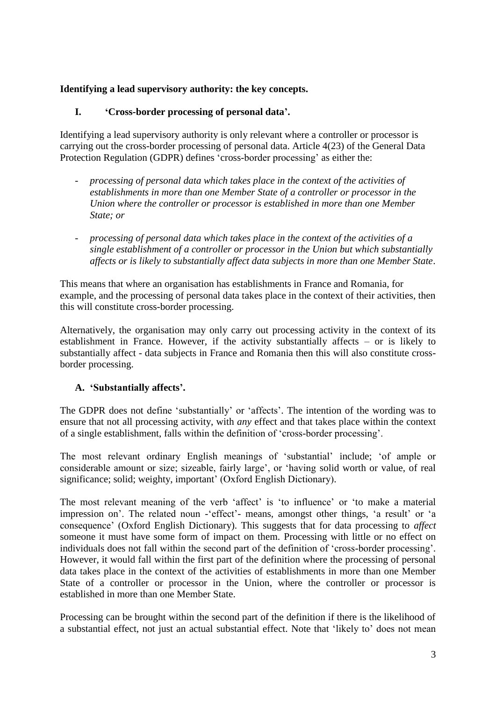# <span id="page-2-0"></span>**Identifying a lead supervisory authority: the key concepts.**

# <span id="page-2-1"></span>**I. 'Cross-border processing of personal data'.**

Identifying a lead supervisory authority is only relevant where a controller or processor is carrying out the cross-border processing of personal data. Article 4(23) of the General Data Protection Regulation (GDPR) defines 'cross-border processing' as either the:

- *processing of personal data which takes place in the context of the activities of establishments in more than one Member State of a controller or processor in the Union where the controller or processor is established in more than one Member State; or*
- *processing of personal data which takes place in the context of the activities of a single establishment of a controller or processor in the Union but which substantially affects or is likely to substantially affect data subjects in more than one Member State*.

This means that where an organisation has establishments in France and Romania, for example, and the processing of personal data takes place in the context of their activities, then this will constitute cross-border processing.

Alternatively, the organisation may only carry out processing activity in the context of its establishment in France. However, if the activity substantially affects – or is likely to substantially affect - data subjects in France and Romania then this will also constitute crossborder processing.

#### <span id="page-2-2"></span>**A. 'Substantially affects'.**

The GDPR does not define 'substantially' or 'affects'. The intention of the wording was to ensure that not all processing activity, with *any* effect and that takes place within the context of a single establishment, falls within the definition of 'cross-border processing'.

The most relevant ordinary English meanings of 'substantial' include; 'of ample or considerable amount or size; sizeable, fairly large', or 'having solid worth or value, of real significance; solid; weighty, important' (Oxford English Dictionary).

The most relevant meaning of the verb 'affect' is 'to influence' or 'to make a material impression on'. The related noun -'effect'- means, amongst other things, 'a result' or 'a consequence' (Oxford English Dictionary). This suggests that for data processing to *affect* someone it must have some form of impact on them. Processing with little or no effect on individuals does not fall within the second part of the definition of 'cross-border processing'. However, it would fall within the first part of the definition where the processing of personal data takes place in the context of the activities of establishments in more than one Member State of a controller or processor in the Union, where the controller or processor is established in more than one Member State.

Processing can be brought within the second part of the definition if there is the likelihood of a substantial effect, not just an actual substantial effect. Note that 'likely to' does not mean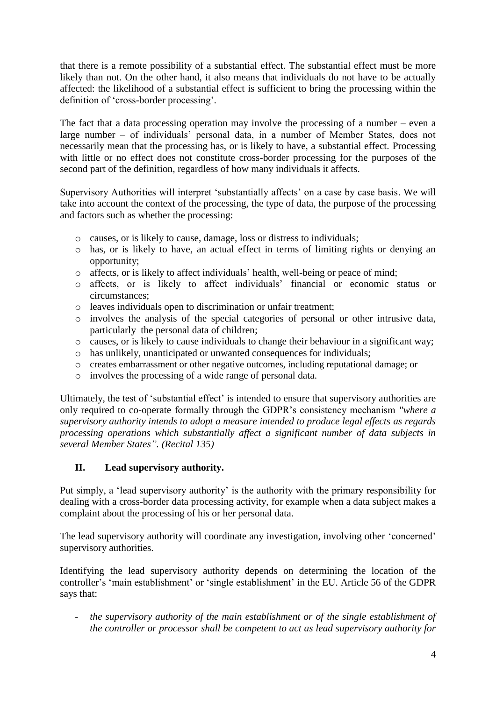that there is a remote possibility of a substantial effect. The substantial effect must be more likely than not. On the other hand, it also means that individuals do not have to be actually affected: the likelihood of a substantial effect is sufficient to bring the processing within the definition of 'cross-border processing'.

The fact that a data processing operation may involve the processing of a number – even a large number – of individuals' personal data, in a number of Member States, does not necessarily mean that the processing has, or is likely to have, a substantial effect. Processing with little or no effect does not constitute cross-border processing for the purposes of the second part of the definition, regardless of how many individuals it affects.

Supervisory Authorities will interpret 'substantially affects' on a case by case basis. We will take into account the context of the processing, the type of data, the purpose of the processing and factors such as whether the processing:

- o causes, or is likely to cause, damage, loss or distress to individuals;
- o has, or is likely to have, an actual effect in terms of limiting rights or denying an opportunity;
- o affects, or is likely to affect individuals' health, well-being or peace of mind;
- o affects, or is likely to affect individuals' financial or economic status or circumstances;
- o leaves individuals open to discrimination or unfair treatment;
- o involves the analysis of the special categories of personal or other intrusive data, particularly the personal data of children;
- o causes, or is likely to cause individuals to change their behaviour in a significant way;
- o has unlikely, unanticipated or unwanted consequences for individuals;
- o creates embarrassment or other negative outcomes, including reputational damage; or
- o involves the processing of a wide range of personal data.

Ultimately, the test of 'substantial effect' is intended to ensure that supervisory authorities are only required to co-operate formally through the GDPR's consistency mechanism *"where a supervisory authority intends to adopt a measure intended to produce legal effects as regards processing operations which substantially affect a significant number of data subjects in several Member States". (Recital 135)*

# <span id="page-3-0"></span>**II. Lead supervisory authority.**

Put simply, a 'lead supervisory authority' is the authority with the primary responsibility for dealing with a cross-border data processing activity, for example when a data subject makes a complaint about the processing of his or her personal data.

The lead supervisory authority will coordinate any investigation, involving other 'concerned' supervisory authorities.

Identifying the lead supervisory authority depends on determining the location of the controller's 'main establishment' or 'single establishment' in the EU. Article 56 of the GDPR says that:

- *the supervisory authority of the main establishment or of the single establishment of the controller or processor shall be competent to act as lead supervisory authority for*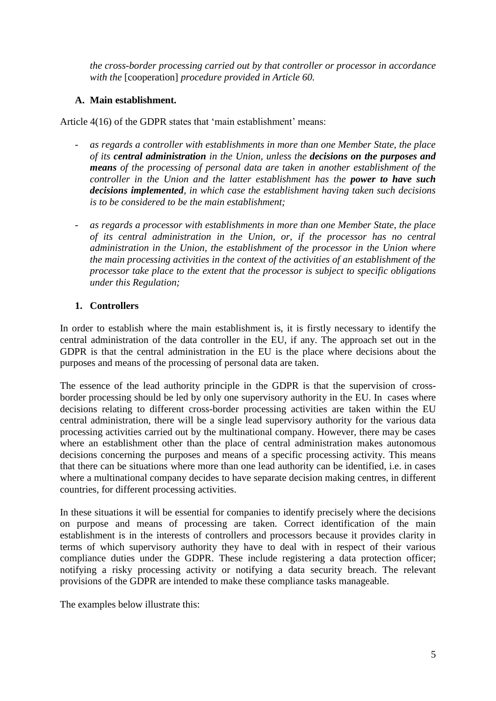*the cross-border processing carried out by that controller or processor in accordance with the* [cooperation] *procedure provided in Article 60.*

# <span id="page-4-0"></span>**A. Main establishment.**

Article 4(16) of the GDPR states that 'main establishment' means:

- *as regards a controller with establishments in more than one Member State, the place of its central administration in the Union, unless the decisions on the purposes and means of the processing of personal data are taken in another establishment of the controller in the Union and the latter establishment has the power to have such decisions implemented, in which case the establishment having taken such decisions is to be considered to be the main establishment;*
- *as regards a processor with establishments in more than one Member State, the place of its central administration in the Union, or, if the processor has no central administration in the Union, the establishment of the processor in the Union where the main processing activities in the context of the activities of an establishment of the processor take place to the extent that the processor is subject to specific obligations under this Regulation;*

# <span id="page-4-1"></span>**1. Controllers**

In order to establish where the main establishment is, it is firstly necessary to identify the central administration of the data controller in the EU, if any. The approach set out in the GDPR is that the central administration in the EU is the place where decisions about the purposes and means of the processing of personal data are taken.

The essence of the lead authority principle in the GDPR is that the supervision of crossborder processing should be led by only one supervisory authority in the EU. In cases where decisions relating to different cross-border processing activities are taken within the EU central administration, there will be a single lead supervisory authority for the various data processing activities carried out by the multinational company. However, there may be cases where an establishment other than the place of central administration makes autonomous decisions concerning the purposes and means of a specific processing activity. This means that there can be situations where more than one lead authority can be identified, i.e. in cases where a multinational company decides to have separate decision making centres, in different countries, for different processing activities.

In these situations it will be essential for companies to identify precisely where the decisions on purpose and means of processing are taken. Correct identification of the main establishment is in the interests of controllers and processors because it provides clarity in terms of which supervisory authority they have to deal with in respect of their various compliance duties under the GDPR. These include registering a data protection officer; notifying a risky processing activity or notifying a data security breach. The relevant provisions of the GDPR are intended to make these compliance tasks manageable.

The examples below illustrate this: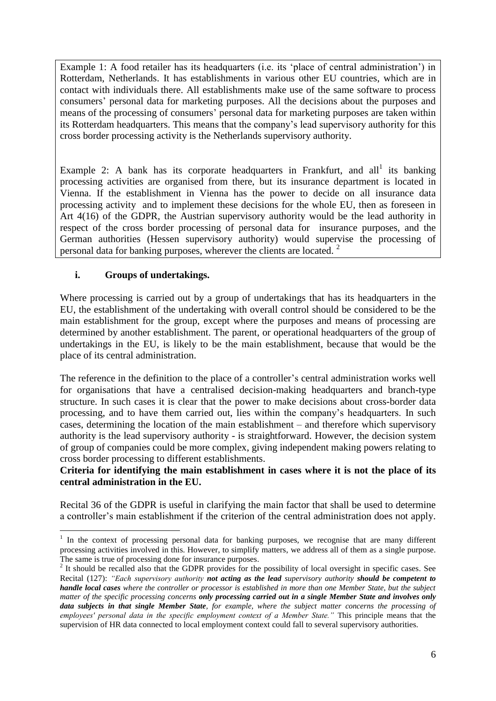Example 1: A food retailer has its headquarters (i.e. its 'place of central administration') in Rotterdam, Netherlands. It has establishments in various other EU countries, which are in contact with individuals there. All establishments make use of the same software to process consumers' personal data for marketing purposes. All the decisions about the purposes and means of the processing of consumers' personal data for marketing purposes are taken within its Rotterdam headquarters. This means that the company's lead supervisory authority for this cross border processing activity is the Netherlands supervisory authority.

Example 2: A bank has its corporate headquarters in Frankfurt, and all its banking processing activities are organised from there, but its insurance department is located in Vienna. If the establishment in Vienna has the power to decide on all insurance data processing activity and to implement these decisions for the whole EU, then as foreseen in Art 4(16) of the GDPR, the Austrian supervisory authority would be the lead authority in respect of the cross border processing of personal data for insurance purposes, and the German authorities (Hessen supervisory authority) would supervise the processing of personal data for banking purposes, wherever the clients are located.<sup>2</sup>

# <span id="page-5-0"></span>**i. Groups of undertakings.**

1

Where processing is carried out by a group of undertakings that has its headquarters in the EU, the establishment of the undertaking with overall control should be considered to be the main establishment for the group, except where the purposes and means of processing are determined by another establishment. The parent, or operational headquarters of the group of undertakings in the EU, is likely to be the main establishment, because that would be the place of its central administration.

The reference in the definition to the place of a controller's central administration works well for organisations that have a centralised decision-making headquarters and branch-type structure. In such cases it is clear that the power to make decisions about cross-border data processing, and to have them carried out, lies within the company's headquarters. In such cases, determining the location of the main establishment – and therefore which supervisory authority is the lead supervisory authority - is straightforward. However, the decision system of group of companies could be more complex, giving independent making powers relating to cross border processing to different establishments.

#### **Criteria for identifying the main establishment in cases where it is not the place of its central administration in the EU.**

Recital 36 of the GDPR is useful in clarifying the main factor that shall be used to determine a controller's main establishment if the criterion of the central administration does not apply.

<sup>&</sup>lt;sup>1</sup> In the context of processing personal data for banking purposes, we recognise that are many different processing activities involved in this. However, to simplify matters, we address all of them as a single purpose. The same is true of processing done for insurance purposes.

<sup>&</sup>lt;sup>2</sup> It should be recalled also that the GDPR provides for the possibility of local oversight in specific cases. See Recital (127): *"Each supervisory authority not acting as the lead supervisory authority should be competent to handle local cases where the controller or processor is established in more than one Member State, but the subject matter of the specific processing concerns only processing carried out in a single Member State and involves only data subjects in that single Member State, for example, where the subject matter concerns the processing of employees' personal data in the specific employment context of a Member State."* This principle means that the supervision of HR data connected to local employment context could fall to several supervisory authorities.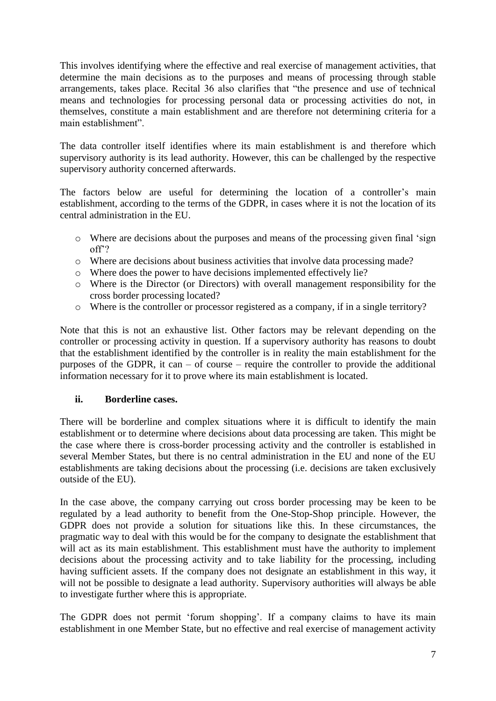This involves identifying where the effective and real exercise of management activities, that determine the main decisions as to the purposes and means of processing through stable arrangements, takes place. Recital 36 also clarifies that "the presence and use of technical means and technologies for processing personal data or processing activities do not, in themselves, constitute a main establishment and are therefore not determining criteria for a main establishment".

The data controller itself identifies where its main establishment is and therefore which supervisory authority is its lead authority. However, this can be challenged by the respective supervisory authority concerned afterwards.

The factors below are useful for determining the location of a controller's main establishment, according to the terms of the GDPR, in cases where it is not the location of its central administration in the EU.

- o Where are decisions about the purposes and means of the processing given final 'sign off'?
- o Where are decisions about business activities that involve data processing made?
- o Where does the power to have decisions implemented effectively lie?
- o Where is the Director (or Directors) with overall management responsibility for the cross border processing located?
- o Where is the controller or processor registered as a company, if in a single territory?

Note that this is not an exhaustive list. Other factors may be relevant depending on the controller or processing activity in question. If a supervisory authority has reasons to doubt that the establishment identified by the controller is in reality the main establishment for the purposes of the GDPR, it can – of course – require the controller to provide the additional information necessary for it to prove where its main establishment is located.

#### <span id="page-6-0"></span>**ii. Borderline cases.**

There will be borderline and complex situations where it is difficult to identify the main establishment or to determine where decisions about data processing are taken. This might be the case where there is cross-border processing activity and the controller is established in several Member States, but there is no central administration in the EU and none of the EU establishments are taking decisions about the processing (i.e. decisions are taken exclusively outside of the EU).

In the case above, the company carrying out cross border processing may be keen to be regulated by a lead authority to benefit from the One-Stop-Shop principle. However, the GDPR does not provide a solution for situations like this. In these circumstances, the pragmatic way to deal with this would be for the company to designate the establishment that will act as its main establishment. This establishment must have the authority to implement decisions about the processing activity and to take liability for the processing, including having sufficient assets. If the company does not designate an establishment in this way, it will not be possible to designate a lead authority. Supervisory authorities will always be able to investigate further where this is appropriate.

The GDPR does not permit 'forum shopping'. If a company claims to have its main establishment in one Member State, but no effective and real exercise of management activity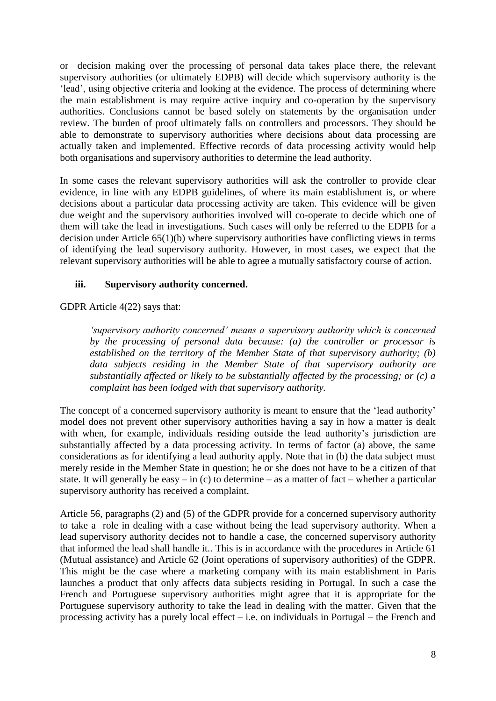or decision making over the processing of personal data takes place there, the relevant supervisory authorities (or ultimately EDPB) will decide which supervisory authority is the 'lead', using objective criteria and looking at the evidence. The process of determining where the main establishment is may require active inquiry and co-operation by the supervisory authorities. Conclusions cannot be based solely on statements by the organisation under review. The burden of proof ultimately falls on controllers and processors. They should be able to demonstrate to supervisory authorities where decisions about data processing are actually taken and implemented. Effective records of data processing activity would help both organisations and supervisory authorities to determine the lead authority.

In some cases the relevant supervisory authorities will ask the controller to provide clear evidence, in line with any EDPB guidelines, of where its main establishment is, or where decisions about a particular data processing activity are taken. This evidence will be given due weight and the supervisory authorities involved will co-operate to decide which one of them will take the lead in investigations. Such cases will only be referred to the EDPB for a decision under Article 65(1)(b) where supervisory authorities have conflicting views in terms of identifying the lead supervisory authority. However, in most cases, we expect that the relevant supervisory authorities will be able to agree a mutually satisfactory course of action.

#### <span id="page-7-0"></span>**iii. Supervisory authority concerned.**

GDPR Article 4(22) says that:

*'supervisory authority concerned' means a supervisory authority which is concerned by the processing of personal data because: (a) the controller or processor is established on the territory of the Member State of that supervisory authority; (b) data subjects residing in the Member State of that supervisory authority are substantially affected or likely to be substantially affected by the processing; or (c) a complaint has been lodged with that supervisory authority.* 

The concept of a concerned supervisory authority is meant to ensure that the 'lead authority' model does not prevent other supervisory authorities having a say in how a matter is dealt with when, for example, individuals residing outside the lead authority's jurisdiction are substantially affected by a data processing activity. In terms of factor (a) above, the same considerations as for identifying a lead authority apply. Note that in (b) the data subject must merely reside in the Member State in question; he or she does not have to be a citizen of that state. It will generally be easy  $-$  in (c) to determine  $-$  as a matter of fact  $-$  whether a particular supervisory authority has received a complaint.

Article 56, paragraphs (2) and (5) of the GDPR provide for a concerned supervisory authority to take a role in dealing with a case without being the lead supervisory authority. When a lead supervisory authority decides not to handle a case, the concerned supervisory authority that informed the lead shall handle it.. This is in accordance with the procedures in Article 61 (Mutual assistance) and Article 62 (Joint operations of supervisory authorities) of the GDPR. This might be the case where a marketing company with its main establishment in Paris launches a product that only affects data subjects residing in Portugal. In such a case the French and Portuguese supervisory authorities might agree that it is appropriate for the Portuguese supervisory authority to take the lead in dealing with the matter. Given that the processing activity has a purely local effect – i.e. on individuals in Portugal – the French and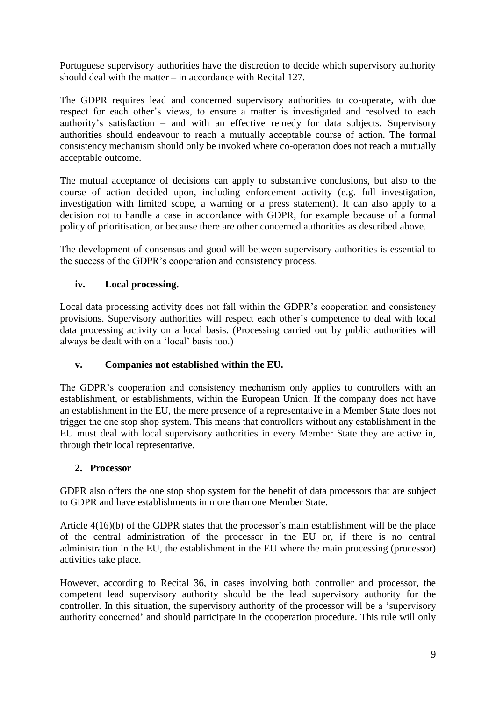Portuguese supervisory authorities have the discretion to decide which supervisory authority should deal with the matter – in accordance with Recital 127.

The GDPR requires lead and concerned supervisory authorities to co-operate, with due respect for each other's views, to ensure a matter is investigated and resolved to each authority's satisfaction – and with an effective remedy for data subjects. Supervisory authorities should endeavour to reach a mutually acceptable course of action. The formal consistency mechanism should only be invoked where co-operation does not reach a mutually acceptable outcome.

The mutual acceptance of decisions can apply to substantive conclusions, but also to the course of action decided upon, including enforcement activity (e.g. full investigation, investigation with limited scope, a warning or a press statement). It can also apply to a decision not to handle a case in accordance with GDPR, for example because of a formal policy of prioritisation, or because there are other concerned authorities as described above.

The development of consensus and good will between supervisory authorities is essential to the success of the GDPR's cooperation and consistency process.

# <span id="page-8-0"></span>**iv. Local processing.**

Local data processing activity does not fall within the GDPR's cooperation and consistency provisions. Supervisory authorities will respect each other's competence to deal with local data processing activity on a local basis. (Processing carried out by public authorities will always be dealt with on a 'local' basis too.)

# <span id="page-8-1"></span>**v. Companies not established within the EU.**

The GDPR's cooperation and consistency mechanism only applies to controllers with an establishment, or establishments, within the European Union. If the company does not have an establishment in the EU, the mere presence of a representative in a Member State does not trigger the one stop shop system. This means that controllers without any establishment in the EU must deal with local supervisory authorities in every Member State they are active in, through their local representative.

#### <span id="page-8-2"></span>**2. Processor**

GDPR also offers the one stop shop system for the benefit of data processors that are subject to GDPR and have establishments in more than one Member State.

Article 4(16)(b) of the GDPR states that the processor's main establishment will be the place of the central administration of the processor in the EU or, if there is no central administration in the EU, the establishment in the EU where the main processing (processor) activities take place.

However, according to Recital 36, in cases involving both controller and processor, the competent lead supervisory authority should be the lead supervisory authority for the controller. In this situation, the supervisory authority of the processor will be a 'supervisory authority concerned' and should participate in the cooperation procedure. This rule will only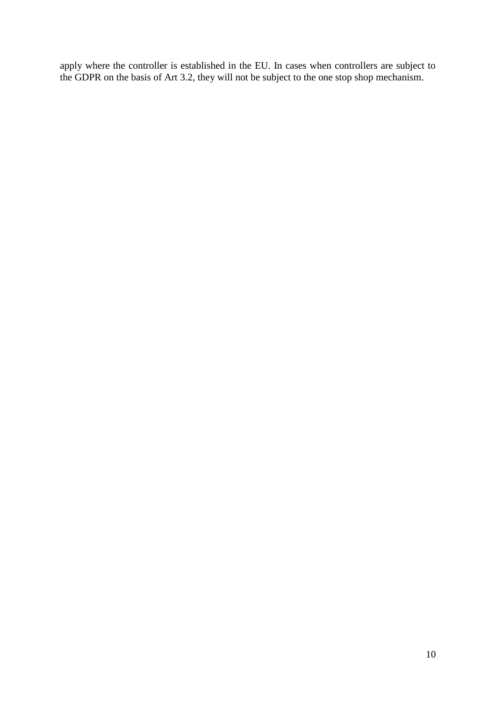apply where the controller is established in the EU. In cases when controllers are subject to the GDPR on the basis of Art 3.2, they will not be subject to the one stop shop mechanism.